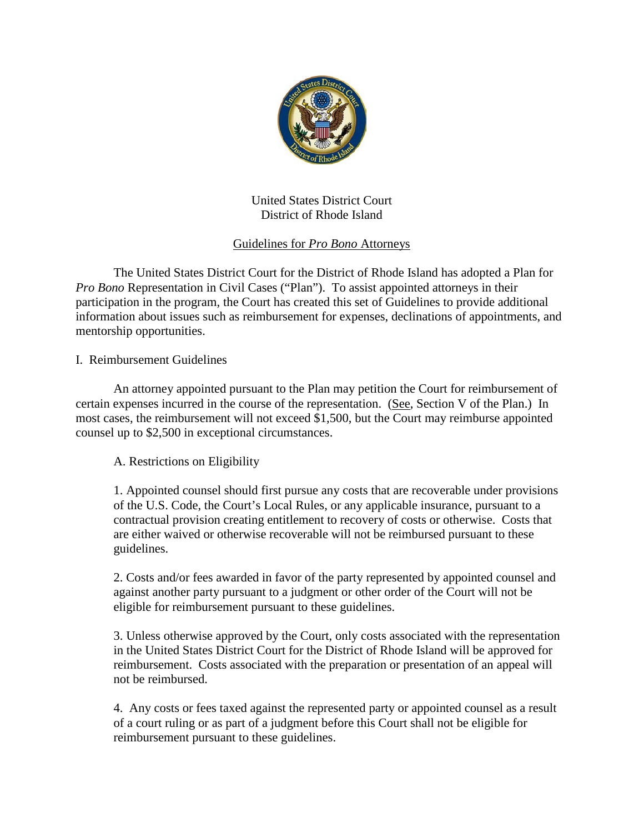

United States District Court District of Rhode Island

## Guidelines for *Pro Bono* Attorneys

The United States District Court for the District of Rhode Island has adopted a Plan for *Pro Bono* Representation in Civil Cases ("Plan"). To assist appointed attorneys in their participation in the program, the Court has created this set of Guidelines to provide additional information about issues such as reimbursement for expenses, declinations of appointments, and mentorship opportunities.

I. Reimbursement Guidelines

An attorney appointed pursuant to the Plan may petition the Court for reimbursement of certain expenses incurred in the course of the representation. (See, Section V of the Plan.) In most cases, the reimbursement will not exceed \$1,500, but the Court may reimburse appointed counsel up to \$2,500 in exceptional circumstances.

A. Restrictions on Eligibility

1. Appointed counsel should first pursue any costs that are recoverable under provisions of the U.S. Code, the Court's Local Rules, or any applicable insurance, pursuant to a contractual provision creating entitlement to recovery of costs or otherwise. Costs that are either waived or otherwise recoverable will not be reimbursed pursuant to these guidelines.

2. Costs and/or fees awarded in favor of the party represented by appointed counsel and against another party pursuant to a judgment or other order of the Court will not be eligible for reimbursement pursuant to these guidelines.

3. Unless otherwise approved by the Court, only costs associated with the representation in the United States District Court for the District of Rhode Island will be approved for reimbursement. Costs associated with the preparation or presentation of an appeal will not be reimbursed.

4. Any costs or fees taxed against the represented party or appointed counsel as a result of a court ruling or as part of a judgment before this Court shall not be eligible for reimbursement pursuant to these guidelines.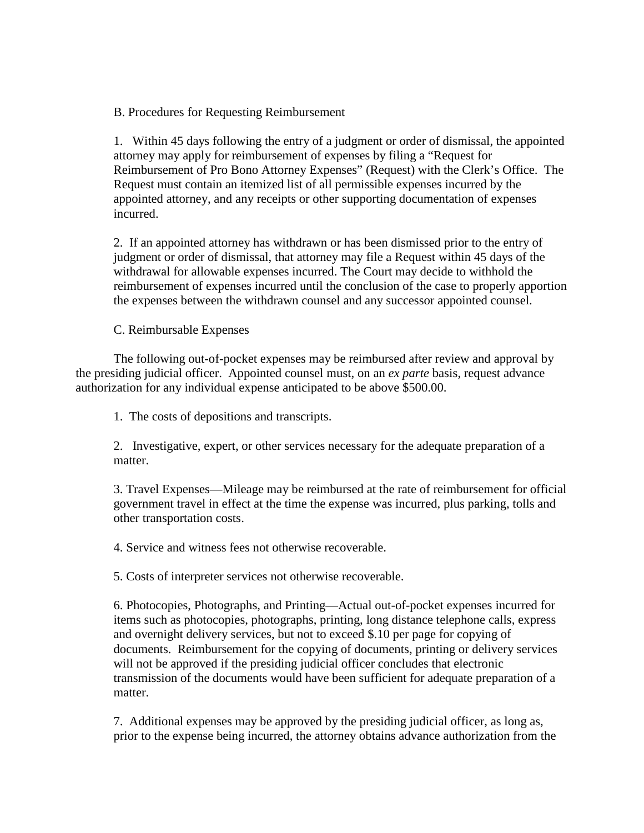B. Procedures for Requesting Reimbursement

1. Within 45 days following the entry of a judgment or order of dismissal, the appointed attorney may apply for reimbursement of expenses by filing a "Request for Reimbursement of Pro Bono Attorney Expenses" (Request) with the Clerk's Office. The Request must contain an itemized list of all permissible expenses incurred by the appointed attorney, and any receipts or other supporting documentation of expenses incurred.

2. If an appointed attorney has withdrawn or has been dismissed prior to the entry of judgment or order of dismissal, that attorney may file a Request within 45 days of the withdrawal for allowable expenses incurred. The Court may decide to withhold the reimbursement of expenses incurred until the conclusion of the case to properly apportion the expenses between the withdrawn counsel and any successor appointed counsel.

C. Reimbursable Expenses

The following out-of-pocket expenses may be reimbursed after review and approval by the presiding judicial officer. Appointed counsel must, on an *ex parte* basis, request advance authorization for any individual expense anticipated to be above \$500.00.

1. The costs of depositions and transcripts.

2. Investigative, expert, or other services necessary for the adequate preparation of a matter.

3. Travel Expenses—Mileage may be reimbursed at the rate of reimbursement for official government travel in effect at the time the expense was incurred, plus parking, tolls and other transportation costs.

4. Service and witness fees not otherwise recoverable.

5. Costs of interpreter services not otherwise recoverable.

6. Photocopies, Photographs, and Printing—Actual out-of-pocket expenses incurred for items such as photocopies, photographs, printing, long distance telephone calls, express and overnight delivery services, but not to exceed \$.10 per page for copying of documents. Reimbursement for the copying of documents, printing or delivery services will not be approved if the presiding judicial officer concludes that electronic transmission of the documents would have been sufficient for adequate preparation of a matter.

7. Additional expenses may be approved by the presiding judicial officer, as long as, prior to the expense being incurred, the attorney obtains advance authorization from the